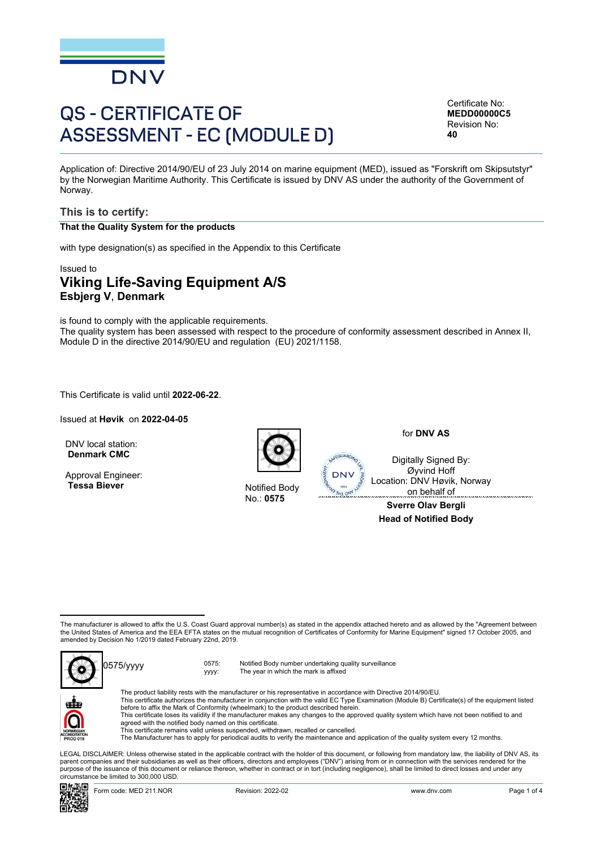

# QS - CERTIFICATE OF ASSESSMENT - EC (MODULE D)

Certificate No: **MEDD00000C5** Revision No: **40**

Application of: Directive 2014/90/EU of 23 July 2014 on marine equipment (MED), issued as "Forskrift om Skipsutstyr" by the Norwegian Maritime Authority. This Certificate is issued by DNV AS under the authority of the Government of Norway.

#### **This is to certify:**

#### **That the Quality System for the products**

with type designation(s) as specified in the Appendix to this Certificate

## Issued to **Viking Life-Saving Equipment A/S Esbjerg V**, **Denmark**

is found to comply with the applicable requirements. The quality system has been assessed with respect to the procedure of conformity assessment described in Annex II, Module D in the directive 2014/90/EU and regulation (EU) 2021/1158.

This Certificate is valid until **2022-06-22**.

Issued at **Høvik** on **2022-04-05**

DNV local station: **Denmark CMC**

Approval Engineer: **Tessa Biever** Notified Body



No.: **0575**

for **DNV AS**

Digitally Signed By: Øyvind Hoff Location: DNV Høvik, Norway on behalf of

**Sverre Olav Bergli Head of Notified Body**

The manufacturer is allowed to affix the U.S. Coast Guard approval number(s) as stated in the appendix attached hereto and as allowed by the "Agreement between<br>the United States of America and the EEA EFTA states on the mu amended by Decision No 1/2019 dated February 22nd, 2019.



yyyy: Notified Body number undertaking quality surveillance The year in which the mark is affixed



**DNV** 

 LEGAL DISCLAIMER: Unless otherwise stated in the applicable contract with the holder of this document, or following from mandatory law, the liability of DNV AS, its parent companies and their subsidiaries as well as their officers, directors and employees ("DNV") arising from or in connection with the services rendered for the purpose of the issuance of this document or reliance thereon, whether in contract or in tort (including negligence), shall be limited to direct losses and under any circumstance be limited to 300,000 USD.

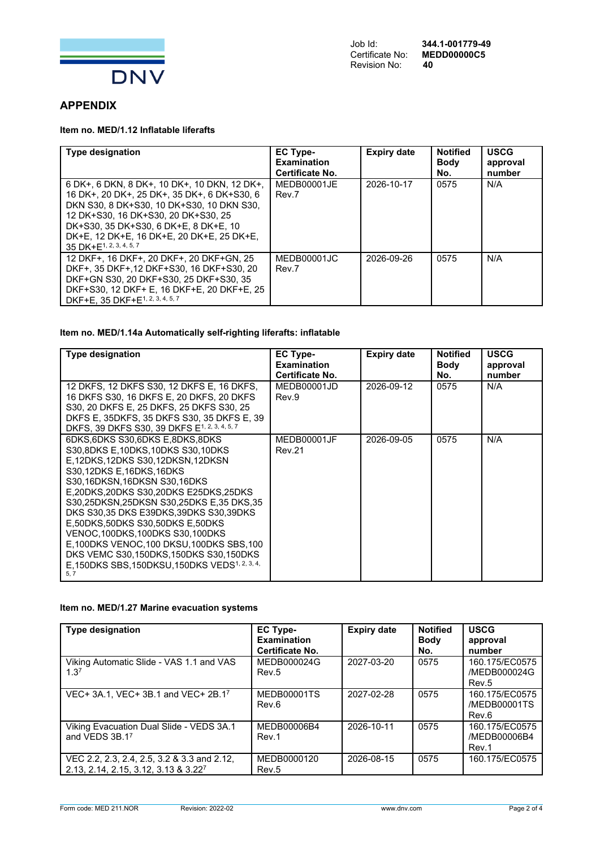

# **APPENDIX**

## **Item no. MED/1.12 Inflatable liferafts**

| <b>Type designation</b>                                                                                                                                                                                                                                                                                      | <b>EC Type-</b><br><b>Examination</b><br>Certificate No. | <b>Expiry date</b> | <b>Notified</b><br><b>Body</b><br>No. | <b>USCG</b><br>approval<br>number |
|--------------------------------------------------------------------------------------------------------------------------------------------------------------------------------------------------------------------------------------------------------------------------------------------------------------|----------------------------------------------------------|--------------------|---------------------------------------|-----------------------------------|
| 6 DK+, 6 DKN, 8 DK+, 10 DK+, 10 DKN, 12 DK+,<br>16 DK+, 20 DK+, 25 DK+, 35 DK+, 6 DK+S30, 6<br>DKN S30, 8 DK+S30, 10 DK+S30, 10 DKN S30,<br>12 DK+S30, 16 DK+S30, 20 DK+S30, 25<br>DK+S30, 35 DK+S30, 6 DK+E, 8 DK+E, 10<br>DK+E, 12 DK+E, 16 DK+E, 20 DK+E, 25 DK+E,<br>35 DK+E <sup>1, 2, 3, 4, 5, 7</sup> | MEDB00001JE<br>Rev.7                                     | 2026-10-17         | 0575                                  | N/A                               |
| 12 DKF+, 16 DKF+, 20 DKF+, 20 DKF+GN, 25<br>DKF+, 35 DKF+, 12 DKF+S30, 16 DKF+S30, 20<br>DKF+GN S30, 20 DKF+S30, 25 DKF+S30, 35<br>DKF+S30, 12 DKF+ E, 16 DKF+E, 20 DKF+E, 25<br>DKF+E, 35 DKF+E <sup>1, 2, 3, 4, 5, 7</sup>                                                                                 | MEDB00001JC<br>Rev.7                                     | 2026-09-26         | 0575                                  | N/A                               |

#### **Item no. MED/1.14a Automatically self-righting liferafts: inflatable**

| <b>Type designation</b>                                                                                                                                                                                                                                                                                                                                                                                                                                                                                               | EC Type-<br><b>Examination</b><br>Certificate No. | <b>Expiry date</b> | <b>Notified</b><br><b>Body</b><br>No. | <b>USCG</b><br>approval<br>number |
|-----------------------------------------------------------------------------------------------------------------------------------------------------------------------------------------------------------------------------------------------------------------------------------------------------------------------------------------------------------------------------------------------------------------------------------------------------------------------------------------------------------------------|---------------------------------------------------|--------------------|---------------------------------------|-----------------------------------|
| 12 DKFS, 12 DKFS S30, 12 DKFS E, 16 DKFS,<br>16 DKFS S30, 16 DKFS E, 20 DKFS, 20 DKFS<br>S30, 20 DKFS E, 25 DKFS, 25 DKFS S30, 25<br>DKFS E, 35DKFS, 35 DKFS S30, 35 DKFS E, 39<br>DKFS, 39 DKFS S30, 39 DKFS E1, 2, 3, 4, 5, 7                                                                                                                                                                                                                                                                                       | MEDB00001JD<br>Rev.9                              | 2026-09-12         | 0575                                  | N/A                               |
| 6DKS.6DKS S30.6DKS E.8DKS.8DKS<br>S30.8DKS E.10DKS.10DKS S30.10DKS<br>E,12DKS,12DKS S30,12DKSN,12DKSN<br>S30.12DKS E.16DKS.16DKS<br>S30,16DKSN,16DKSN S30,16DKS<br>E.20DKS.20DKS S30.20DKS E25DKS.25DKS<br>S30.25DKSN.25DKSN S30.25DKS E.35 DKS.35<br>DKS S30,35 DKS E39DKS,39DKS S30,39DKS<br>E.50DKS.50DKS S30.50DKS E.50DKS<br>VENOC.100DKS.100DKS S30.100DKS<br>E,100DKS VENOC,100 DKSU,100DKS SBS,100<br>DKS VEMC S30,150DKS,150DKS S30,150DKS<br>E.150DKS SBS.150DKSU.150DKS VEDS <sup>1, 2, 3, 4,</sup><br>5.7 | MEDB00001JF<br>Rev.21                             | 2026-09-05         | 0575                                  | N/A                               |

#### **Item no. MED/1.27 Marine evacuation systems**

| <b>Type designation</b>                     | EC Type-           | <b>Expiry date</b> | <b>Notified</b> | <b>USCG</b>    |
|---------------------------------------------|--------------------|--------------------|-----------------|----------------|
|                                             | <b>Examination</b> |                    | <b>Body</b>     | approval       |
|                                             | Certificate No.    |                    | No.             | number         |
| Viking Automatic Slide - VAS 1.1 and VAS    | MEDB000024G        | 2027-03-20         | 0575            | 160.175/EC0575 |
| 1.3 <sup>7</sup>                            | Rev.5              |                    |                 | /MEDB000024G   |
|                                             |                    |                    |                 | Rev.5          |
| VEC+ 3A.1, VEC+ 3B.1 and VEC+ 2B.17         | MEDB00001TS        | 2027-02-28         | 0575            | 160.175/EC0575 |
|                                             | Rev.6              |                    |                 | /MEDB00001TS   |
|                                             |                    |                    |                 | Rev.6          |
| Viking Evacuation Dual Slide - VEDS 3A.1    | MEDB00006B4        | 2026-10-11         | 0575            | 160.175/EC0575 |
| and VEDS 3B.17                              | Rev.1              |                    |                 | /MEDB00006B4   |
|                                             |                    |                    |                 | Rev.1          |
| VEC 2.2, 2.3, 2.4, 2.5, 3.2 & 3.3 and 2.12, | MEDB0000120        | 2026-08-15         | 0575            | 160.175/EC0575 |
| 2.13, 2.14, 2.15, 3.12, 3.13 & 3.227        | Rev.5              |                    |                 |                |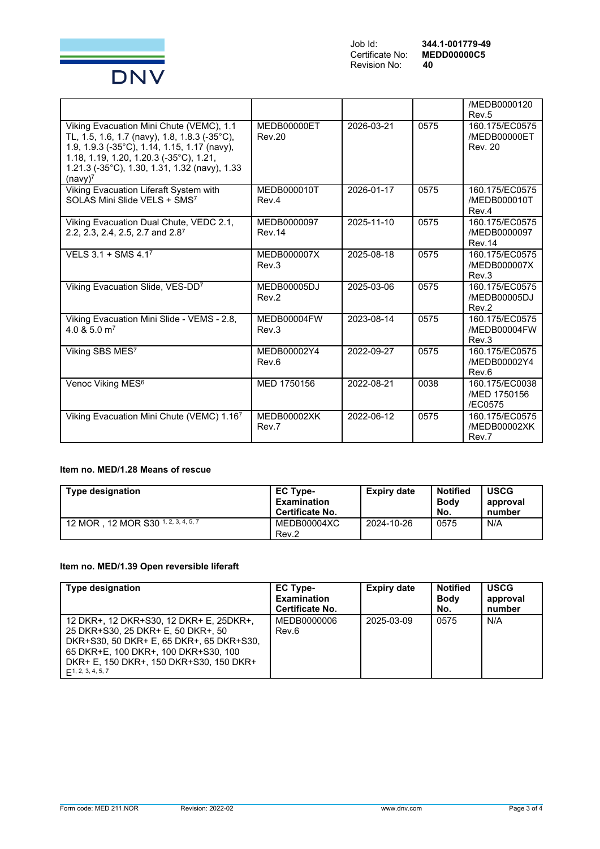

|                                                                                                                                                                                                                                                              |                              |            |      | /MEDB0000120<br>Rev <sub>.5</sub>                |
|--------------------------------------------------------------------------------------------------------------------------------------------------------------------------------------------------------------------------------------------------------------|------------------------------|------------|------|--------------------------------------------------|
| Viking Evacuation Mini Chute (VEMC), 1.1<br>TL, 1.5, 1.6, 1.7 (navy), 1.8, 1.8.3 (-35°C),<br>1.9, 1.9.3 (-35°C), 1.14, 1.15, 1.17 (navy),<br>1.18, 1.19, 1.20, 1.20.3 (-35°C), 1.21,<br>1.21.3 (-35°C), 1.30, 1.31, 1.32 (navy), 1.33<br>(navy) <sup>7</sup> | MEDB00000ET<br><b>Rev.20</b> | 2026-03-21 | 0575 | 160.175/EC0575<br>/MEDB00000ET<br><b>Rev. 20</b> |
| Viking Evacuation Liferaft System with<br>SOLAS Mini Slide VELS + SMS7                                                                                                                                                                                       | MEDB000010T<br>Rev.4         | 2026-01-17 | 0575 | 160.175/EC0575<br>/MEDB000010T<br>Rev.4          |
| Viking Evacuation Dual Chute, VEDC 2.1,<br>2.2, 2.3, 2.4, 2.5, 2.7 and 2.87                                                                                                                                                                                  | MEDB0000097<br><b>Rev.14</b> | 2025-11-10 | 0575 | 160.175/EC0575<br>/MEDB0000097<br><b>Rev.14</b>  |
| VELS 3.1 + SMS 4.17                                                                                                                                                                                                                                          | MEDB000007X<br>Rev.3         | 2025-08-18 | 0575 | 160.175/EC0575<br>/MEDB000007X<br>Rev.3          |
| Viking Evacuation Slide, VES-DD7                                                                                                                                                                                                                             | MEDB00005DJ<br>Rev.2         | 2025-03-06 | 0575 | 160.175/EC0575<br>/MEDB00005DJ<br>Rev.2          |
| Viking Evacuation Mini Slide - VEMS - 2.8,<br>4.0 & 5.0 m <sup>7</sup>                                                                                                                                                                                       | MEDB00004FW<br>Rev.3         | 2023-08-14 | 0575 | 160.175/EC0575<br>/MEDB00004FW<br>Rev.3          |
| Viking SBS MES7                                                                                                                                                                                                                                              | MEDB00002Y4<br>Rev.6         | 2022-09-27 | 0575 | 160.175/EC0575<br>/MEDB00002Y4<br>Rev.6          |
| Venoc Viking MES <sup>6</sup>                                                                                                                                                                                                                                | MED 1750156                  | 2022-08-21 | 0038 | 160.175/EC0038<br>/MED 1750156<br>/EC0575        |
| Viking Evacuation Mini Chute (VEMC) 1.167                                                                                                                                                                                                                    | <b>MEDB00002XK</b><br>Rev.7  | 2022-06-12 | 0575 | 160.175/EC0575<br>/MEDB00002XK<br>Rev.7          |

# **Item no. MED/1.28 Means of rescue**

| <b>Type designation</b>             | <b>EC Type-</b><br><b>Examination</b><br>Certificate No. | Expiry date | <b>Notified</b><br><b>Body</b><br>No. | <b>USCG</b><br>approval<br>number |
|-------------------------------------|----------------------------------------------------------|-------------|---------------------------------------|-----------------------------------|
| 12 MOR, 12 MOR S30 1, 2, 3, 4, 5, 7 | MEDB00004XC<br>Rev.2                                     | 2024-10-26  | 0575                                  | N/A                               |

## **Item no. MED/1.39 Open reversible liferaft**

| <b>Type designation</b>                                                                                                                                                                                                           | <b>EC Type-</b><br><b>Examination</b><br><b>Certificate No.</b> | <b>Expiry date</b> | <b>Notified</b><br><b>Body</b><br>No. | <b>USCG</b><br>approval<br>number |
|-----------------------------------------------------------------------------------------------------------------------------------------------------------------------------------------------------------------------------------|-----------------------------------------------------------------|--------------------|---------------------------------------|-----------------------------------|
| 12 DKR+, 12 DKR+S30, 12 DKR+ E, 25DKR+,<br>25 DKR+S30, 25 DKR+ E, 50 DKR+, 50<br>DKR+S30, 50 DKR+ E, 65 DKR+, 65 DKR+S30,<br>65 DKR+E, 100 DKR+, 100 DKR+S30, 100<br>DKR+ E. 150 DKR+. 150 DKR+S30. 150 DKR+<br>F1, 2, 3, 4, 5, 7 | MEDB0000006<br>Rev.6                                            | 2025-03-09         | 0575                                  | N/A                               |